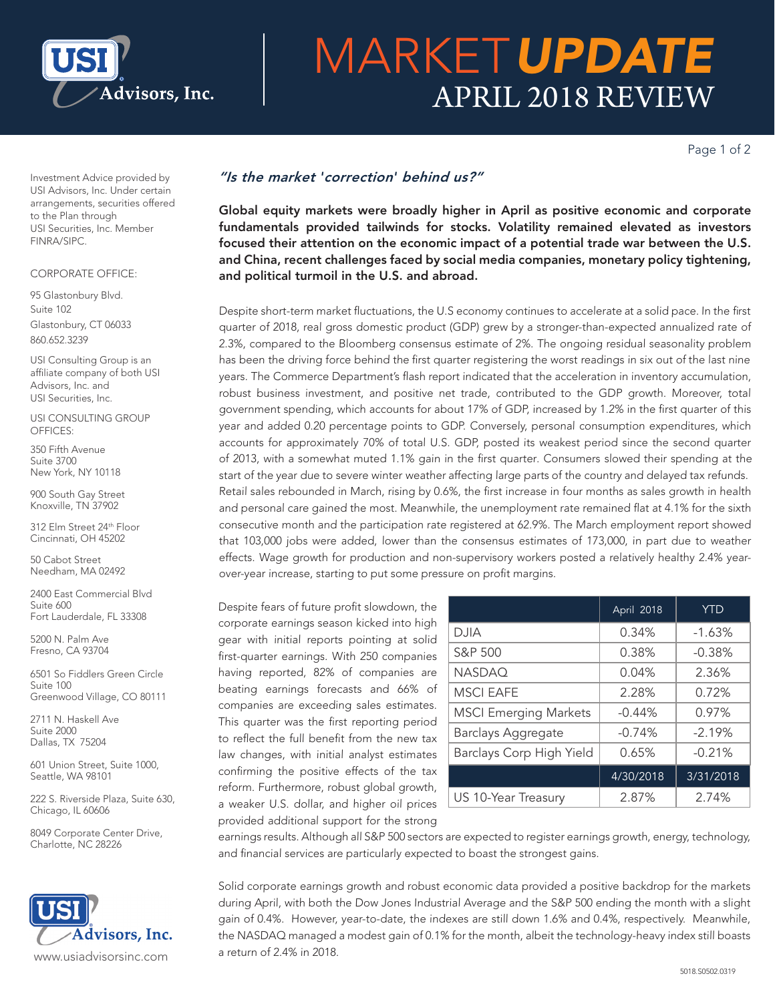

# MARKET*UPDATE* APRIL 2018 REVIEW

Page 1 of 2

Investment Advice provided by USI Advisors, Inc. Under certain arrangements, securities offered to the Plan through USI Securities, Inc. Member FINRA/SIPC.

### CORPORATE OFFICE:

95 Glastonbury Blvd. Suite 102 Glastonbury, CT 06033 860.652.3239

USI Consulting Group is an affiliate company of both USI Advisors, Inc. and USI Securities, Inc.

USI CONSULTING GROUP OFFICES:

350 Fifth Avenue Suite 3700 New York, NY 10118

900 South Gay Street Knoxville, TN 37902

312 Elm Street 24th Floor Cincinnati, OH 45202

50 Cabot Street Needham, MA 02492

2400 East Commercial Blvd Suite 600 Fort Lauderdale, FL 33308

5200 N. Palm Ave Fresno, CA 93704

6501 So Fiddlers Green Circle Suite 100 Greenwood Village, CO 80111

2711 N. Haskell Ave Suite 2000 Dallas, TX 75204

601 Union Street, Suite 1000, Seattle, WA 98101

222 S. Riverside Plaza, Suite 630, Chicago, IL 60606

8049 Corporate Center Drive, Charlotte, NC 28226



## *"Is the market* '*correction*' *behind us?"*

Global equity markets were broadly higher in April as positive economic and corporate fundamentals provided tailwinds for stocks. Volatility remained elevated as investors focused their attention on the economic impact of a potential trade war between the U.S. and China, recent challenges faced by social media companies, monetary policy tightening, and political turmoil in the U.S. and abroad.

Despite short-term market fluctuations, the U.S economy continues to accelerate at a solid pace. In the first quarter of 2018, real gross domestic product (GDP) grew by a stronger-than-expected annualized rate of 2.3%, compared to the Bloomberg consensus estimate of 2%. The ongoing residual seasonality problem has been the driving force behind the first quarter registering the worst readings in six out of the last nine years. The Commerce Department's flash report indicated that the acceleration in inventory accumulation, robust business investment, and positive net trade, contributed to the GDP growth. Moreover, total government spending, which accounts for about 17% of GDP, increased by 1.2% in the first quarter of this year and added 0.20 percentage points to GDP. Conversely, personal consumption expenditures, which accounts for approximately 70% of total U.S. GDP, posted its weakest period since the second quarter of 2013, with a somewhat muted 1.1% gain in the first quarter. Consumers slowed their spending at the start of the year due to severe winter weather affecting large parts of the country and delayed tax refunds. Retail sales rebounded in March, rising by 0.6%, the first increase in four months as sales growth in health and personal care gained the most. Meanwhile, the unemployment rate remained flat at 4.1% for the sixth consecutive month and the participation rate registered at 62.9%. The March employment report showed that 103,000 jobs were added, lower than the consensus estimates of 173,000, in part due to weather effects. Wage growth for production and non-supervisory workers posted a relatively healthy 2.4% yearover-year increase, starting to put some pressure on profit margins.

Despite fears of future profit slowdown, the corporate earnings season kicked into high gear with initial reports pointing at solid first-quarter earnings. With 250 companies having reported, 82% of companies are beating earnings forecasts and 66% of companies are exceeding sales estimates. This quarter was the first reporting period to reflect the full benefit from the new tax law changes, with initial analyst estimates confirming the positive effects of the tax reform. Furthermore, robust global growth, a weaker U.S. dollar, and higher oil prices provided additional support for the strong

|                              | April 2018 | <b>YTD</b> |
|------------------------------|------------|------------|
| DJIA                         | 0.34%      | $-1.63%$   |
| S&P 500                      | 0.38%      | $-0.38%$   |
| <b>NASDAQ</b>                | 0.04%      | 2.36%      |
| <b>MSCI EAFE</b>             | 2.28%      | 0.72%      |
| <b>MSCI Emerging Markets</b> | $-0.44%$   | 0.97%      |
| <b>Barclays Aggregate</b>    | $-0.74%$   | $-2.19%$   |
| Barclays Corp High Yield     | 0.65%      | $-0.21%$   |
|                              | 4/30/2018  | 3/31/2018  |
| US 10-Year Treasury          | 2.87%      | 2.74%      |

earnings results. Although all S&P 500 sectors are expected to register earnings growth, energy, technology, and financial services are particularly expected to boast the strongest gains.

Solid corporate earnings growth and robust economic data provided a positive backdrop for the markets during April, with both the Dow Jones Industrial Average and the S&P 500 ending the month with a slight gain of 0.4%. However, year-to-date, the indexes are still down 1.6% and 0.4%, respectively. Meanwhile, the NASDAQ managed a modest gain of 0.1% for the month, albeit the technology-heavy index still boasts a return of 2.4% in 2018.